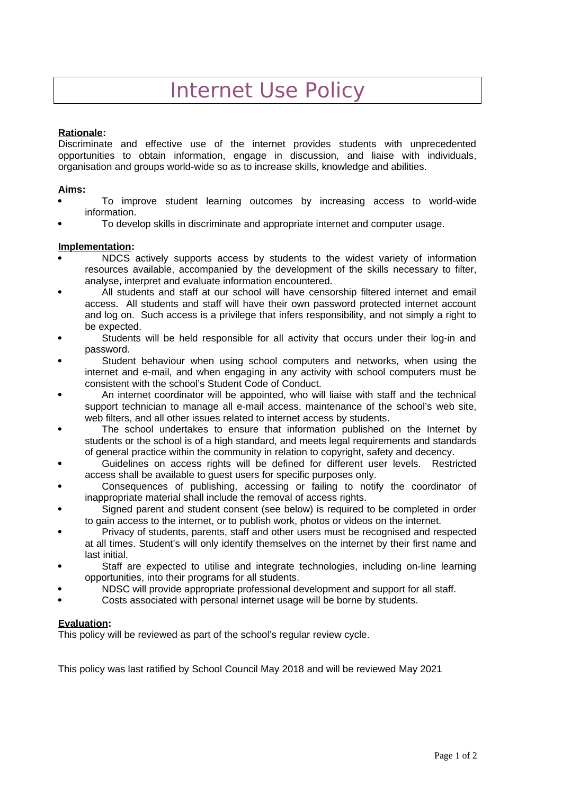# Internet Use Policy

## **Rationale:**

Discriminate and effective use of the internet provides students with unprecedented opportunities to obtain information, engage in discussion, and liaise with individuals, organisation and groups world-wide so as to increase skills, knowledge and abilities.

## **Aims:**

- To improve student learning outcomes by increasing access to world-wide information.
- To develop skills in discriminate and appropriate internet and computer usage.

### **Implementation:**

- NDCS actively supports access by students to the widest variety of information resources available, accompanied by the development of the skills necessary to filter, analyse, interpret and evaluate information encountered.
- All students and staff at our school will have censorship filtered internet and email access. All students and staff will have their own password protected internet account and log on. Such access is a privilege that infers responsibility, and not simply a right to be expected.
- Students will be held responsible for all activity that occurs under their log-in and password.
- Student behaviour when using school computers and networks, when using the internet and e-mail, and when engaging in any activity with school computers must be consistent with the school's Student Code of Conduct.
- An internet coordinator will be appointed, who will liaise with staff and the technical support technician to manage all e-mail access, maintenance of the school's web site, web filters, and all other issues related to internet access by students.
- The school undertakes to ensure that information published on the Internet by students or the school is of a high standard, and meets legal requirements and standards of general practice within the community in relation to copyright, safety and decency.
- Guidelines on access rights will be defined for different user levels. Restricted access shall be available to guest users for specific purposes only.
- Consequences of publishing, accessing or failing to notify the coordinator of inappropriate material shall include the removal of access rights.
- Signed parent and student consent (see below) is required to be completed in order to gain access to the internet, or to publish work, photos or videos on the internet.
- Privacy of students, parents, staff and other users must be recognised and respected at all times. Student's will only identify themselves on the internet by their first name and last initial.
- Staff are expected to utilise and integrate technologies, including on-line learning opportunities, into their programs for all students.
- NDSC will provide appropriate professional development and support for all staff.
- Costs associated with personal internet usage will be borne by students.

# **Evaluation:**

This policy will be reviewed as part of the school's regular review cycle.

This policy was last ratified by School Council May 2018 and will be reviewed May 2021